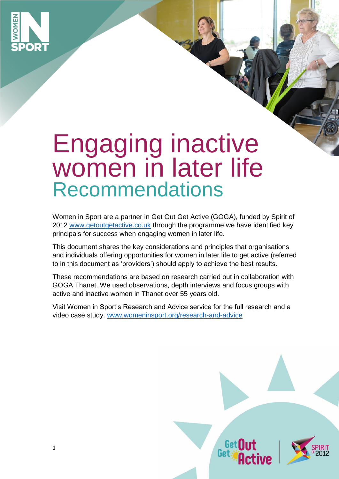

# Engaging inactive women in later life Recommendations

Women in Sport are a partner in Get Out Get Active (GOGA), funded by Spirit of 2012 [www.getoutgetactive.co.uk](http://www.getoutgetactive.co.uk/) through the programme we have identified key principals for success when engaging women in later life.

This document shares the key considerations and principles that organisations and individuals offering opportunities for women in later life to get active (referred to in this document as 'providers') should apply to achieve the best results.

These recommendations are based on research carried out in collaboration with GOGA Thanet. We used observations, depth interviews and focus groups with active and inactive women in Thanet over 55 years old.

Visit Women in Sport's Research and Advice service for the full research and a video case study. [www.womeninsport.org/research-and-advice](http://www.womeninsport.org/research-and-advice) 

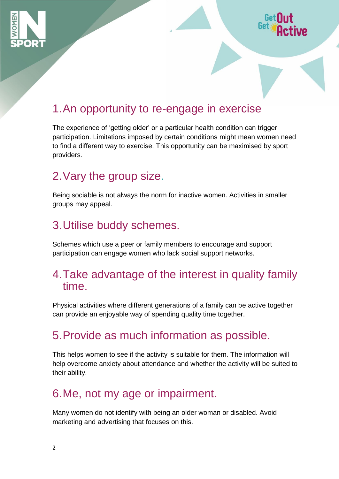



# 1.An opportunity to re-engage in exercise

The experience of 'getting older' or a particular health condition can trigger participation. Limitations imposed by certain conditions might mean women need to find a different way to exercise. This opportunity can be maximised by sport providers.

#### 2.Vary the group size.

Being sociable is not always the norm for inactive women. Activities in smaller groups may appeal.

# 3.Utilise buddy schemes.

Schemes which use a peer or family members to encourage and support participation can engage women who lack social support networks.

#### 4.Take advantage of the interest in quality family time.

Physical activities where different generations of a family can be active together can provide an enjoyable way of spending quality time together.

# 5.Provide as much information as possible.

This helps women to see if the activity is suitable for them. The information will help overcome anxiety about attendance and whether the activity will be suited to their ability.

#### 6.Me, not my age or impairment.

Many women do not identify with being an older woman or disabled. Avoid marketing and advertising that focuses on this.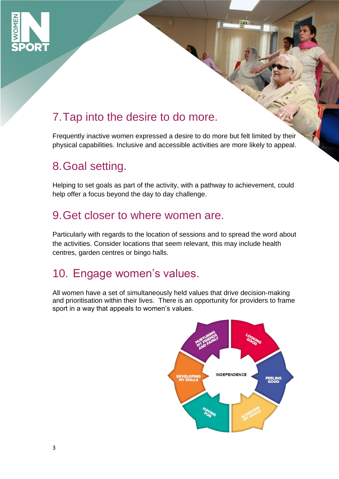

# 7.Tap into the desire to do more.

Frequently inactive women expressed a desire to do more but felt limited by their physical capabilities. Inclusive and accessible activities are more likely to appeal.

# 8.Goal setting.

Helping to set goals as part of the activity, with a pathway to achievement, could help offer a focus beyond the day to day challenge.

#### 9.Get closer to where women are.

Particularly with regards to the location of sessions and to spread the word about the activities. Consider locations that seem relevant, this may include health centres, garden centres or bingo halls.

# 10. Engage women's values.

All women have a set of simultaneously held values that drive decision-making and prioritisation within their lives. There is an opportunity for providers to frame sport in a way that appeals to women's values.